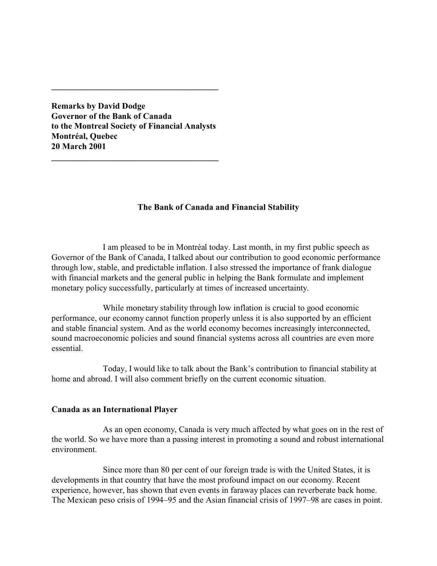**Remarks by David Dodge Governor of the Bank of Canada to the Montreal Society of Financial Analysts Montréal, Quebec 20 March 2001**

**\_\_\_\_\_\_\_\_\_\_\_\_\_\_\_\_\_\_\_\_\_\_\_\_\_\_\_\_\_\_\_\_\_\_\_\_\_\_\_**

**\_\_\_\_\_\_\_\_\_\_\_\_\_\_\_\_\_\_\_\_\_\_\_\_\_\_\_\_\_\_\_\_\_\_\_\_\_\_\_**

# **The Bank of Canada and Financial Stability**

I am pleased to be in Montréal today. Last month, in my first public speech as Governor of the Bank of Canada, I talked about our contribution to good economic performance through low, stable, and predictable inflation. I also stressed the importance of frank dialogue with financial markets and the general public in helping the Bank formulate and implement monetary policy successfully, particularly at times of increased uncertainty.

While monetary stability through low inflation is crucial to good economic performance, our economy cannot function properly unless it is also supported by an efficient and stable financial system. And as the world economy becomes increasingly interconnected, sound macroeconomic policies and sound financial systems across all countries are even more essential.

Today, I would like to talk about the Bank's contribution to financial stability at home and abroad. I will also comment briefly on the current economic situation.

## **Canada as an International Player**

As an open economy, Canada is very much affected by what goes on in the rest of the world. So we have more than a passing interest in promoting a sound and robust international environment.

Since more than 80 per cent of our foreign trade is with the United States, it is developments in that country that have the most profound impact on our economy. Recent experience, however, has shown that even events in faraway places can reverberate back home. The Mexican peso crisis of 1994–95 and the Asian financial crisis of 1997–98 are cases in point.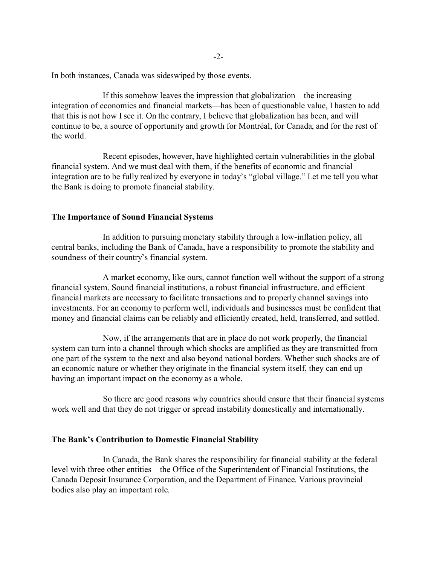In both instances, Canada was sideswiped by those events.

If this somehow leaves the impression that globalization—the increasing integration of economies and financial markets—has been of questionable value, I hasten to add that this is not how I see it. On the contrary, I believe that globalization has been, and will continue to be, a source of opportunity and growth for Montréal, for Canada, and for the rest of the world.

Recent episodes, however, have highlighted certain vulnerabilities in the global financial system. And we must deal with them, if the benefits of economic and financial integration are to be fully realized by everyone in today's "global village." Let me tell you what the Bank is doing to promote financial stability.

### **The Importance of Sound Financial Systems**

In addition to pursuing monetary stability through a low-inflation policy, all central banks, including the Bank of Canada, have a responsibility to promote the stability and soundness of their country's financial system.

A market economy, like ours, cannot function well without the support of a strong financial system. Sound financial institutions, a robust financial infrastructure, and efficient financial markets are necessary to facilitate transactions and to properly channel savings into investments. For an economy to perform well, individuals and businesses must be confident that money and financial claims can be reliably and efficiently created, held, transferred, and settled.

Now, if the arrangements that are in place do not work properly, the financial system can turn into a channel through which shocks are amplified as they are transmitted from one part of the system to the next and also beyond national borders. Whether such shocks are of an economic nature or whether they originate in the financial system itself, they can end up having an important impact on the economy as a whole.

So there are good reasons why countries should ensure that their financial systems work well and that they do not trigger or spread instability domestically and internationally.

### **The Bank's Contribution to Domestic Financial Stability**

In Canada, the Bank shares the responsibility for financial stability at the federal level with three other entities—the Office of the Superintendent of Financial Institutions, the Canada Deposit Insurance Corporation, and the Department of Finance. Various provincial bodies also play an important role.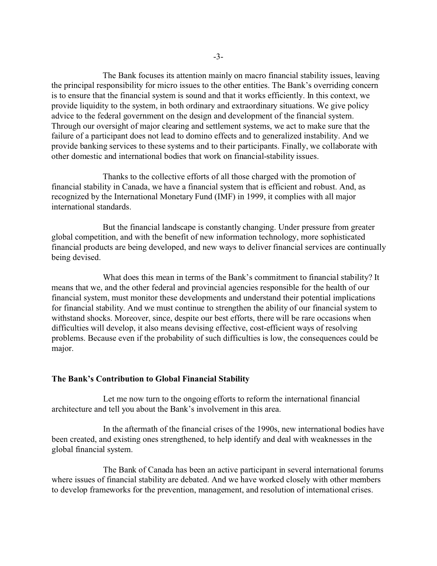The Bank focuses its attention mainly on macro financial stability issues, leaving the principal responsibility for micro issues to the other entities. The Bank's overriding concern is to ensure that the financial system is sound and that it works efficiently. In this context, we provide liquidity to the system, in both ordinary and extraordinary situations. We give policy advice to the federal government on the design and development of the financial system. Through our oversight of major clearing and settlement systems, we act to make sure that the failure of a participant does not lead to domino effects and to generalized instability. And we provide banking services to these systems and to their participants. Finally, we collaborate with other domestic and international bodies that work on financial-stability issues.

Thanks to the collective efforts of all those charged with the promotion of financial stability in Canada, we have a financial system that is efficient and robust. And, as recognized by the International Monetary Fund (IMF) in 1999, it complies with all major international standards.

But the financial landscape is constantly changing. Under pressure from greater global competition, and with the benefit of new information technology, more sophisticated financial products are being developed, and new ways to deliver financial services are continually being devised.

What does this mean in terms of the Bank's commitment to financial stability? It means that we, and the other federal and provincial agencies responsible for the health of our financial system, must monitor these developments and understand their potential implications for financial stability. And we must continue to strengthen the ability of our financial system to withstand shocks. Moreover, since, despite our best efforts, there will be rare occasions when difficulties will develop, it also means devising effective, cost-efficient ways of resolving problems. Because even if the probability of such difficulties is low, the consequences could be major.

### **The Bank's Contribution to Global Financial Stability**

Let me now turn to the ongoing efforts to reform the international financial architecture and tell you about the Bank's involvement in this area.

In the aftermath of the financial crises of the 1990s, new international bodies have been created, and existing ones strengthened, to help identify and deal with weaknesses in the global financial system.

The Bank of Canada has been an active participant in several international forums where issues of financial stability are debated. And we have worked closely with other members to develop frameworks for the prevention, management, and resolution of international crises.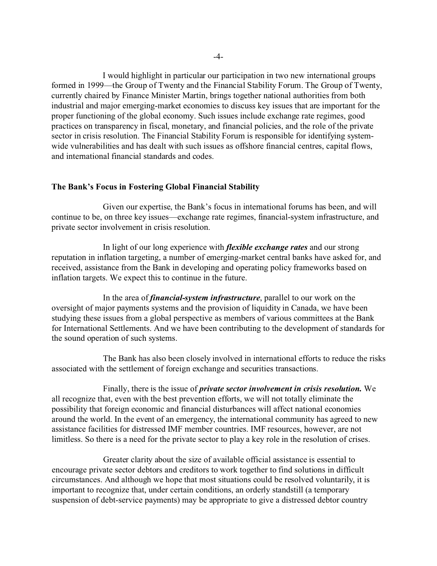I would highlight in particular our participation in two new international groups formed in 1999—the Group of Twenty and the Financial Stability Forum. The Group of Twenty, currently chaired by Finance Minister Martin, brings together national authorities from both industrial and major emerging-market economies to discuss key issues that are important for the proper functioning of the global economy. Such issues include exchange rate regimes, good practices on transparency in fiscal, monetary, and financial policies, and the role of the private sector in crisis resolution. The Financial Stability Forum is responsible for identifying systemwide vulnerabilities and has dealt with such issues as offshore financial centres, capital flows, and international financial standards and codes.

### **The Bank's Focus in Fostering Global Financial Stability**

Given our expertise, the Bank's focus in international forums has been, and will continue to be, on three key issues—exchange rate regimes, financial-system infrastructure, and private sector involvement in crisis resolution.

In light of our long experience with *flexible exchange rates* and our strong reputation in inflation targeting, a number of emerging-market central banks have asked for, and received, assistance from the Bank in developing and operating policy frameworks based on inflation targets. We expect this to continue in the future.

In the area of *financial-system infrastructure*, parallel to our work on the oversight of major payments systems and the provision of liquidity in Canada, we have been studying these issues from a global perspective as members of various committees at the Bank for International Settlements. And we have been contributing to the development of standards for the sound operation of such systems.

The Bank has also been closely involved in international efforts to reduce the risks associated with the settlement of foreign exchange and securities transactions.

Finally, there is the issue of *private sector involvement in crisis resolution.* We all recognize that, even with the best prevention efforts, we will not totally eliminate the possibility that foreign economic and financial disturbances will affect national economies around the world. In the event of an emergency, the international community has agreed to new assistance facilities for distressed IMF member countries. IMF resources, however, are not limitless. So there is a need for the private sector to play a key role in the resolution of crises.

Greater clarity about the size of available official assistance is essential to encourage private sector debtors and creditors to work together to find solutions in difficult circumstances. And although we hope that most situations could be resolved voluntarily, it is important to recognize that, under certain conditions, an orderly standstill (a temporary suspension of debt-service payments) may be appropriate to give a distressed debtor country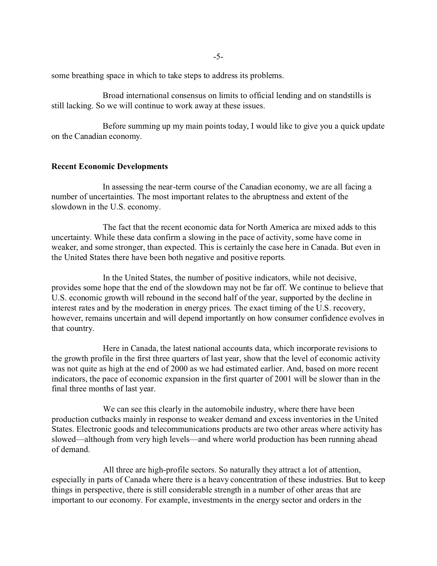some breathing space in which to take steps to address its problems.

Broad international consensus on limits to official lending and on standstills is still lacking. So we will continue to work away at these issues.

Before summing up my main points today, I would like to give you a quick update on the Canadian economy.

#### **Recent Economic Developments**

In assessing the near-term course of the Canadian economy, we are all facing a number of uncertainties. The most important relates to the abruptness and extent of the slowdown in the U.S. economy.

The fact that the recent economic data for North America are mixed adds to this uncertainty. While these data confirm a slowing in the pace of activity, some have come in weaker, and some stronger, than expected. This is certainly the case here in Canada. But even in the United States there have been both negative and positive reports.

In the United States, the number of positive indicators, while not decisive, provides some hope that the end of the slowdown may not be far off. We continue to believe that U.S. economic growth will rebound in the second half of the year, supported by the decline in interest rates and by the moderation in energy prices. The exact timing of the U.S. recovery, however, remains uncertain and will depend importantly on how consumer confidence evolves in that country.

Here in Canada, the latest national accounts data, which incorporate revisions to the growth profile in the first three quarters of last year, show that the level of economic activity was not quite as high at the end of 2000 as we had estimated earlier. And, based on more recent indicators, the pace of economic expansion in the first quarter of 2001 will be slower than in the final three months of last year.

We can see this clearly in the automobile industry, where there have been production cutbacks mainly in response to weaker demand and excess inventories in the United States. Electronic goods and telecommunications products are two other areas where activity has slowed—although from very high levels—and where world production has been running ahead of demand.

All three are high-profile sectors. So naturally they attract a lot of attention, especially in parts of Canada where there is a heavy concentration of these industries. But to keep things in perspective, there is still considerable strength in a number of other areas that are important to our economy. For example, investments in the energy sector and orders in the